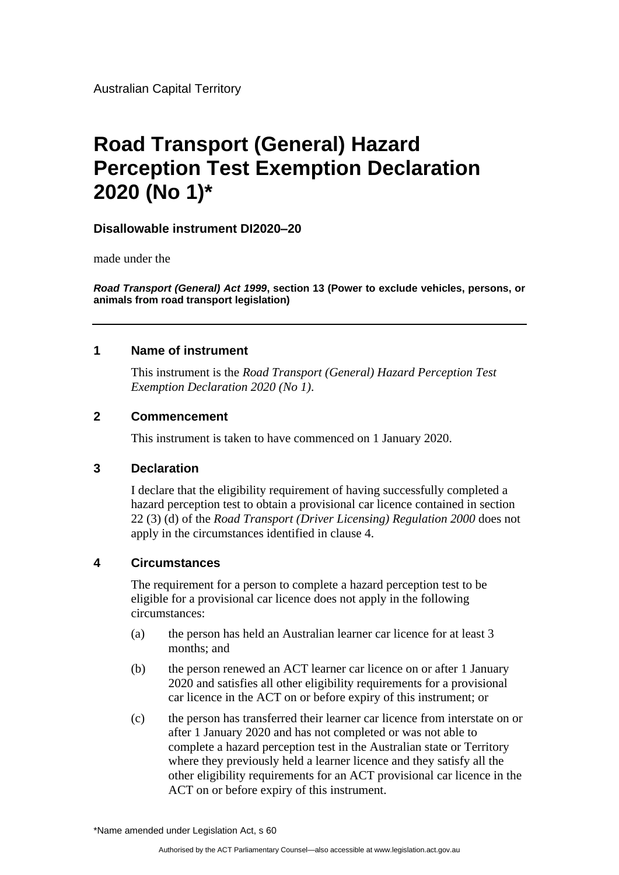Australian Capital Territory

# **Road Transport (General) Hazard Perception Test Exemption Declaration 2020 (No 1)\***

### **Disallowable instrument DI2020–20**

made under the

*Road Transport (General) Act 1999***, section 13 (Power to exclude vehicles, persons, or animals from road transport legislation)**

### **1 Name of instrument**

This instrument is the *Road Transport (General) Hazard Perception Test Exemption Declaration 2020 (No 1)*.

### **2 Commencement**

This instrument is taken to have commenced on 1 January 2020.

#### **3 Declaration**

I declare that the eligibility requirement of having successfully completed a hazard perception test to obtain a provisional car licence contained in section 22 (3) (d) of the *Road Transport (Driver Licensing) Regulation 2000* does not apply in the circumstances identified in clause 4.

## **4 Circumstances**

The requirement for a person to complete a hazard perception test to be eligible for a provisional car licence does not apply in the following circumstances:

- (a) the person has held an Australian learner car licence for at least 3 months; and
- (b) the person renewed an ACT learner car licence on or after 1 January 2020 and satisfies all other eligibility requirements for a provisional car licence in the ACT on or before expiry of this instrument; or
- (c) the person has transferred their learner car licence from interstate on or after 1 January 2020 and has not completed or was not able to complete a hazard perception test in the Australian state or Territory where they previously held a learner licence and they satisfy all the other eligibility requirements for an ACT provisional car licence in the ACT on or before expiry of this instrument.

\*Name amended under Legislation Act, s 60